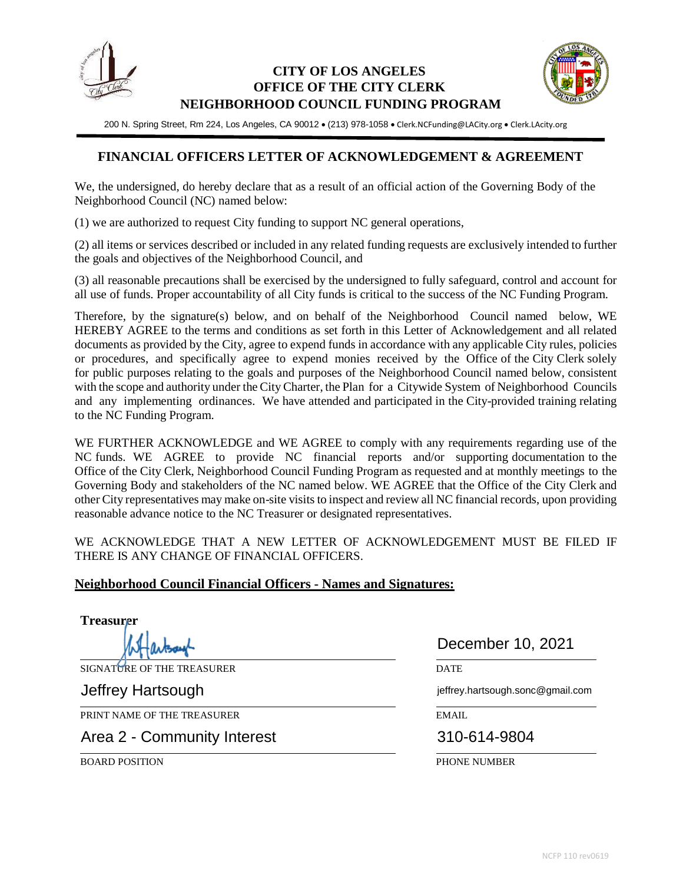

## **CITY OF LOS ANGELES OFFICE OF THE CITY CLERK NEIGHBORHOOD COUNCIL FUNDING PROGRAM**



200 N. Spring Street, Rm 224, Los Angeles, CA 90012 . (213) 978-1058 . Clerk.NCFunding@LACity.org . Clerk.LAcity.org

## **FINANCIAL OFFICERS LETTER OF ACKNOWLEDGEMENT & AGREEMENT**

We, the undersigned, do hereby declare that as a result of an official action of the Governing Body of the Neighborhood Council (NC) named below:

(1) we are authorized to request City funding to support NC general operations,

(2) all items or services described or included in any related funding requests are exclusively intended to further the goals and objectives of the Neighborhood Council, and

(3) all reasonable precautions shall be exercised by the undersigned to fully safeguard, control and account for all use of funds. Proper accountability of all City funds is critical to the success of the NC Funding Program.

Therefore, by the signature(s) below, and on behalf of the Neighborhood Council named below, WE HEREBY AGREE to the terms and conditions as set forth in this Letter of Acknowledgement and all related documents as provided by the City, agree to expend funds in accordance with any applicable City rules, policies or procedures, and specifically agree to expend monies received by the Office of the City Clerk solely for public purposes relating to the goals and purposes of the Neighborhood Council named below, consistent with the scope and authority under the City Charter, the Plan for a Citywide System of Neighborhood Councils and any implementing ordinances. We have attended and participated in the City-provided training relating to the NC Funding Program.

WE FURTHER ACKNOWLEDGE and WE AGREE to comply with any requirements regarding use of the NC funds. WE AGREE to provide NC financial reports and/or supporting documentation to the Office of the City Clerk, Neighborhood Council Funding Program as requested and at monthly meetings to the Governing Body and stakeholders of the NC named below. WE AGREE that the Office of the City Clerk and other City representatives may make on-site visitsto inspect and review all NC financial records, upon providing reasonable advance notice to the NC Treasurer or designated representatives.

WE ACKNOWLEDGE THAT A NEW LETTER OF ACKNOWLEDGEMENT MUST BE FILED IF THERE IS ANY CHANGE OF FINANCIAL OFFICERS.

## **Neighborhood Council Financial Officers - Names and Signatures:**

**Treasurer**

SIGNATURE OF THE TREASURER DATE

PRINT NAME OF THE TREASURER EMAIL FOR THE TREASURER THE SERVICE OF THE TREASURER THE SERVICE OF THE SERVICE OF THE TREASURER THE SERVICE OF THE SERVICE OF THE SERVICE OF THE SERVICE OF THE SERVICE OF THE SERVICE OF THE SER

Area 2 - Community Interest 310-614-9804

December 10, 2021

Jeffrey Hartsough jeffrey.hartsough.sonc@gmail.com

BOARD POSITION PHONE NUMBER